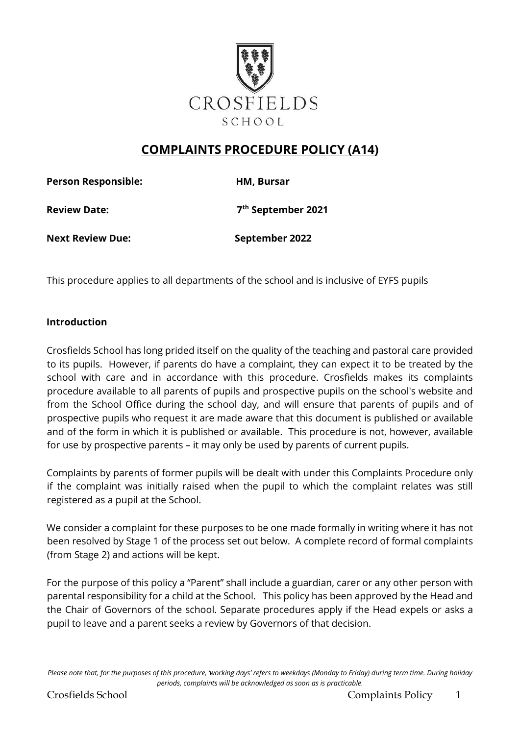

# **COMPLAINTS PROCEDURE POLICY (A14)**

**Person Responsible: HM, Bursar Review Date: 7th September 2021** 

**Next Review Due:** September 2022

This procedure applies to all departments of the school and is inclusive of EYFS pupils

#### **Introduction**

Crosfields School has long prided itself on the quality of the teaching and pastoral care provided to its pupils. However, if parents do have a complaint, they can expect it to be treated by the school with care and in accordance with this procedure. Crosfields makes its complaints procedure available to all parents of pupils and prospective pupils on the school's website and from the School Office during the school day, and will ensure that parents of pupils and of prospective pupils who request it are made aware that this document is published or available and of the form in which it is published or available. This procedure is not, however, available for use by prospective parents – it may only be used by parents of current pupils.

Complaints by parents of former pupils will be dealt with under this Complaints Procedure only if the complaint was initially raised when the pupil to which the complaint relates was still registered as a pupil at the School.

We consider a complaint for these purposes to be one made formally in writing where it has not been resolved by Stage 1 of the process set out below. A complete record of formal complaints (from Stage 2) and actions will be kept.

For the purpose of this policy a "Parent" shall include a guardian, carer or any other person with parental responsibility for a child at the School. This policy has been approved by the Head and the Chair of Governors of the school. Separate procedures apply if the Head expels or asks a pupil to leave and a parent seeks a review by Governors of that decision.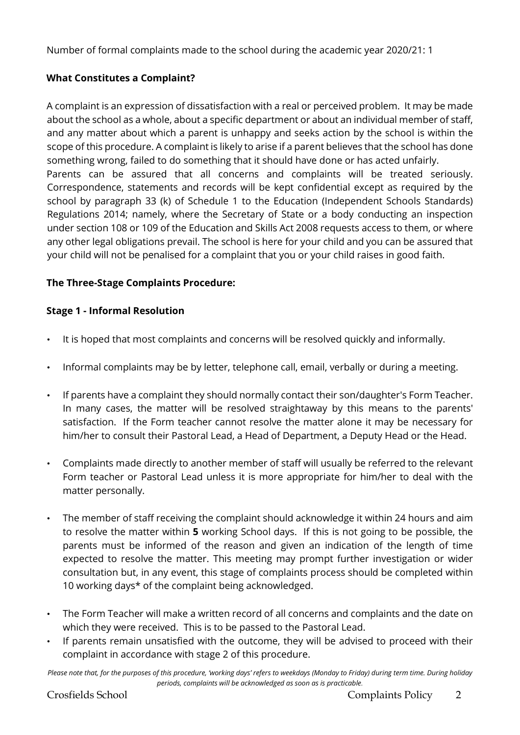Number of formal complaints made to the school during the academic year 2020/21: 1

# **What Constitutes a Complaint?**

A complaint is an expression of dissatisfaction with a real or perceived problem. It may be made about the school as a whole, about a specific department or about an individual member of staff, and any matter about which a parent is unhappy and seeks action by the school is within the scope of this procedure. A complaint is likely to arise if a parent believes that the school has done something wrong, failed to do something that it should have done or has acted unfairly. Parents can be assured that all concerns and complaints will be treated seriously. Correspondence, statements and records will be kept confidential except as required by the school by paragraph 33 (k) of Schedule 1 to the Education (Independent Schools Standards) Regulations 2014; namely, where the Secretary of State or a body conducting an inspection under section 108 or 109 of the Education and Skills Act 2008 requests access to them, or where any other legal obligations prevail. The school is here for your child and you can be assured that your child will not be penalised for a complaint that you or your child raises in good faith.

# **The Three-Stage Complaints Procedure:**

# **Stage 1 - Informal Resolution**

- It is hoped that most complaints and concerns will be resolved quickly and informally.
- Informal complaints may be by letter, telephone call, email, verbally or during a meeting.
- If parents have a complaint they should normally contact their son/daughter's Form Teacher. In many cases, the matter will be resolved straightaway by this means to the parents' satisfaction. If the Form teacher cannot resolve the matter alone it may be necessary for him/her to consult their Pastoral Lead, a Head of Department, a Deputy Head or the Head.
- Complaints made directly to another member of staff will usually be referred to the relevant Form teacher or Pastoral Lead unless it is more appropriate for him/her to deal with the matter personally.
- The member of staff receiving the complaint should acknowledge it within 24 hours and aim to resolve the matter within **5** working School days. If this is not going to be possible, the parents must be informed of the reason and given an indication of the length of time expected to resolve the matter. This meeting may prompt further investigation or wider consultation but, in any event, this stage of complaints process should be completed within 10 working days\* of the complaint being acknowledged.
- The Form Teacher will make a written record of all concerns and complaints and the date on which they were received. This is to be passed to the Pastoral Lead.
- If parents remain unsatisfied with the outcome, they will be advised to proceed with their complaint in accordance with stage 2 of this procedure.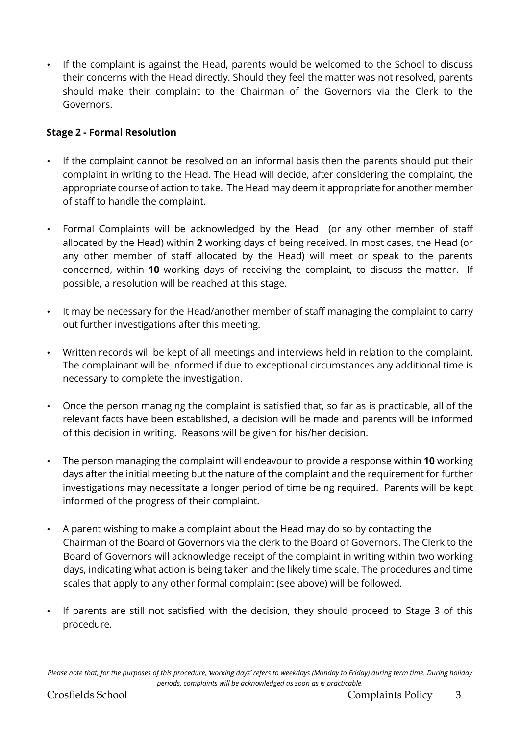• If the complaint is against the Head, parents would be welcomed to the School to discuss their concerns with the Head directly. Should they feel the matter was not resolved, parents should make their complaint to the Chairman of the Governors via the Clerk to the Governors.

# **Stage 2 - Formal Resolution**

- If the complaint cannot be resolved on an informal basis then the parents should put their complaint in writing to the Head. The Head will decide, after considering the complaint, the appropriate course of action to take. The Head may deem it appropriate for another member of staff to handle the complaint.
- Formal Complaints will be acknowledged by the Head (or any other member of staff allocated by the Head) within **2** working days of being received. In most cases, the Head (or any other member of staff allocated by the Head) will meet or speak to the parents concerned, within **10** working days of receiving the complaint, to discuss the matter. If possible, a resolution will be reached at this stage.
- It may be necessary for the Head/another member of staff managing the complaint to carry out further investigations after this meeting.
- Written records will be kept of all meetings and interviews held in relation to the complaint. The complainant will be informed if due to exceptional circumstances any additional time is necessary to complete the investigation.
- Once the person managing the complaint is satisfied that, so far as is practicable, all of the relevant facts have been established, a decision will be made and parents will be informed of this decision in writing. Reasons will be given for his/her decision.
- The person managing the complaint will endeavour to provide a response within **10** working days after the initial meeting but the nature of the complaint and the requirement for further investigations may necessitate a longer period of time being required. Parents will be kept informed of the progress of their complaint.
- A parent wishing to make a complaint about the Head may do so by contacting the Chairman of the Board of Governors via the clerk to the Board of Governors. The Clerk to the Board of Governors will acknowledge receipt of the complaint in writing within two working days, indicating what action is being taken and the likely time scale. The procedures and time scales that apply to any other formal complaint (see above) will be followed.
- If parents are still not satisfied with the decision, they should proceed to Stage 3 of this procedure.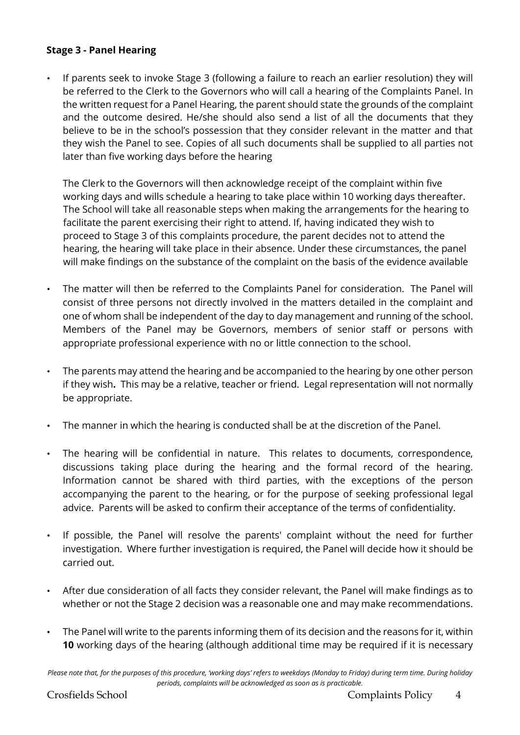### **Stage 3 - Panel Hearing**

• If parents seek to invoke Stage 3 (following a failure to reach an earlier resolution) they will be referred to the Clerk to the Governors who will call a hearing of the Complaints Panel. In the written request for a Panel Hearing, the parent should state the grounds of the complaint and the outcome desired. He/she should also send a list of all the documents that they believe to be in the school's possession that they consider relevant in the matter and that they wish the Panel to see. Copies of all such documents shall be supplied to all parties not later than five working days before the hearing

The Clerk to the Governors will then acknowledge receipt of the complaint within five working days and wills schedule a hearing to take place within 10 working days thereafter. The School will take all reasonable steps when making the arrangements for the hearing to facilitate the parent exercising their right to attend. If, having indicated they wish to proceed to Stage 3 of this complaints procedure, the parent decides not to attend the hearing, the hearing will take place in their absence. Under these circumstances, the panel will make findings on the substance of the complaint on the basis of the evidence available

- The matter will then be referred to the Complaints Panel for consideration. The Panel will consist of three persons not directly involved in the matters detailed in the complaint and one of whom shall be independent of the day to day management and running of the school. Members of the Panel may be Governors, members of senior staff or persons with appropriate professional experience with no or little connection to the school.
- The parents may attend the hearing and be accompanied to the hearing by one other person if they wish**.** This may be a relative, teacher or friend. Legal representation will not normally be appropriate.
- The manner in which the hearing is conducted shall be at the discretion of the Panel.
- The hearing will be confidential in nature. This relates to documents, correspondence, discussions taking place during the hearing and the formal record of the hearing. Information cannot be shared with third parties, with the exceptions of the person accompanying the parent to the hearing, or for the purpose of seeking professional legal advice. Parents will be asked to confirm their acceptance of the terms of confidentiality.
- If possible, the Panel will resolve the parents' complaint without the need for further investigation. Where further investigation is required, the Panel will decide how it should be carried out.
- After due consideration of all facts they consider relevant, the Panel will make findings as to whether or not the Stage 2 decision was a reasonable one and may make recommendations.
- The Panel will write to the parents informing them of its decision and the reasons for it, within **10** working days of the hearing (although additional time may be required if it is necessary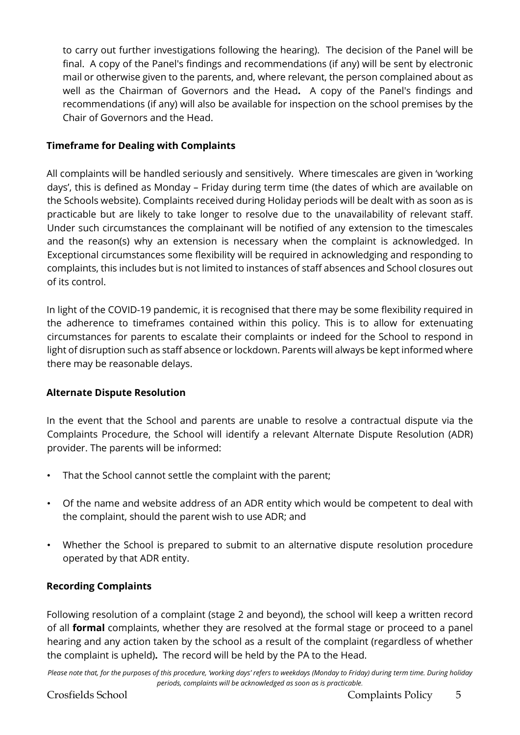to carry out further investigations following the hearing). The decision of the Panel will be final. A copy of the Panel's findings and recommendations (if any) will be sent by electronic mail or otherwise given to the parents, and, where relevant, the person complained about as well as the Chairman of Governors and the Head**.** A copy of the Panel's findings and recommendations (if any) will also be available for inspection on the school premises by the Chair of Governors and the Head.

# **Timeframe for Dealing with Complaints**

All complaints will be handled seriously and sensitively. Where timescales are given in 'working days', this is defined as Monday – Friday during term time (the dates of which are available on the Schools website). Complaints received during Holiday periods will be dealt with as soon as is practicable but are likely to take longer to resolve due to the unavailability of relevant staff. Under such circumstances the complainant will be notified of any extension to the timescales and the reason(s) why an extension is necessary when the complaint is acknowledged. In Exceptional circumstances some flexibility will be required in acknowledging and responding to complaints, this includes but is not limited to instances of staff absences and School closures out of its control.

In light of the COVID-19 pandemic, it is recognised that there may be some flexibility required in the adherence to timeframes contained within this policy. This is to allow for extenuating circumstances for parents to escalate their complaints or indeed for the School to respond in light of disruption such as staff absence or lockdown. Parents will always be kept informed where there may be reasonable delays.

# **Alternate Dispute Resolution**

In the event that the School and parents are unable to resolve a contractual dispute via the Complaints Procedure, the School will identify a relevant Alternate Dispute Resolution (ADR) provider. The parents will be informed:

- That the School cannot settle the complaint with the parent;
- Of the name and website address of an ADR entity which would be competent to deal with the complaint, should the parent wish to use ADR; and
- Whether the School is prepared to submit to an alternative dispute resolution procedure operated by that ADR entity.

# **Recording Complaints**

Following resolution of a complaint (stage 2 and beyond), the school will keep a written record of all **formal** complaints, whether they are resolved at the formal stage or proceed to a panel hearing and any action taken by the school as a result of the complaint (regardless of whether the complaint is upheld)**.** The record will be held by the PA to the Head.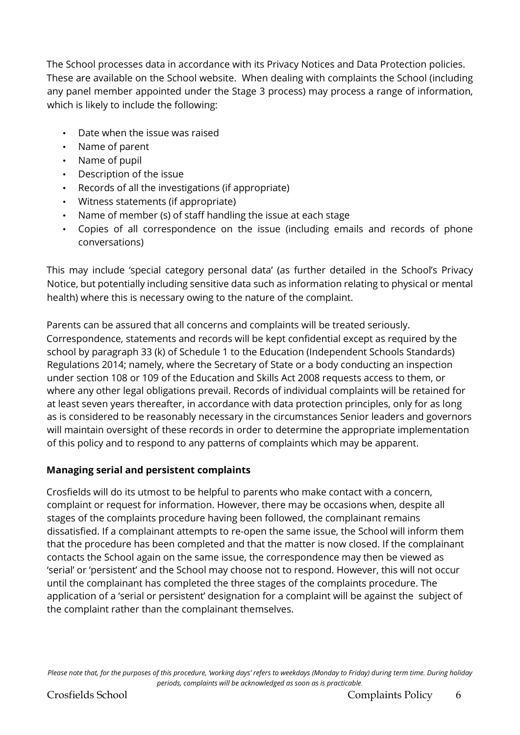The School processes data in accordance with its Privacy Notices and Data Protection policies. These are available on the School website. When dealing with complaints the School (including any panel member appointed under the Stage 3 process) may process a range of information, which is likely to include the following:

- Date when the issue was raised
- Name of parent
- Name of pupil
- Description of the issue
- Records of all the investigations (if appropriate)
- Witness statements (if appropriate)
- Name of member (s) of staff handling the issue at each stage
- Copies of all correspondence on the issue (including emails and records of phone conversations)

This may include 'special category personal data' (as further detailed in the School's Privacy Notice, but potentially including sensitive data such as information relating to physical or mental health) where this is necessary owing to the nature of the complaint.

Parents can be assured that all concerns and complaints will be treated seriously. Correspondence, statements and records will be kept confidential except as required by the school by paragraph 33 (k) of Schedule 1 to the Education (Independent Schools Standards) Regulations 2014; namely, where the Secretary of State or a body conducting an inspection under section 108 or 109 of the Education and Skills Act 2008 requests access to them, or where any other legal obligations prevail. Records of individual complaints will be retained for at least seven years thereafter, in accordance with data protection principles, only for as long as is considered to be reasonably necessary in the circumstances Senior leaders and governors will maintain oversight of these records in order to determine the appropriate implementation of this policy and to respond to any patterns of complaints which may be apparent.

# **Managing serial and persistent complaints**

Crosfields will do its utmost to be helpful to parents who make contact with a concern, complaint or request for information. However, there may be occasions when, despite all stages of the complaints procedure having been followed, the complainant remains dissatisfied. If a complainant attempts to re-open the same issue, the School will inform them that the procedure has been completed and that the matter is now closed. If the complainant contacts the School again on the same issue, the correspondence may then be viewed as 'serial' or 'persistent' and the School may choose not to respond. However, this will not occur until the complainant has completed the three stages of the complaints procedure. The application of a 'serial or persistent' designation for a complaint will be against the subject of the complaint rather than the complainant themselves.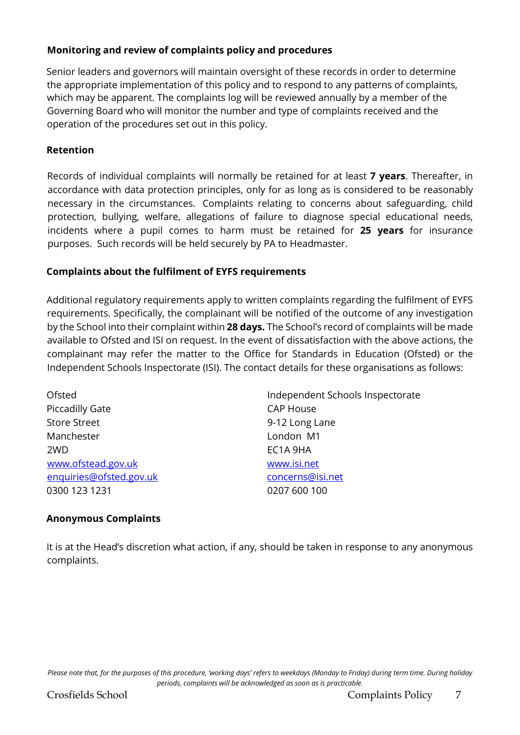### **Monitoring and review of complaints policy and procedures**

Senior leaders and governors will maintain oversight of these records in order to determine the appropriate implementation of this policy and to respond to any patterns of complaints, which may be apparent. The complaints log will be reviewed annually by a member of the Governing Board who will monitor the number and type of complaints received and the operation of the procedures set out in this policy.

### **Retention**

Records of individual complaints will normally be retained for at least **7 years**. Thereafter, in accordance with data protection principles, only for as long as is considered to be reasonably necessary in the circumstances. Complaints relating to concerns about safeguarding, child protection, bullying, welfare, allegations of failure to diagnose special educational needs, incidents where a pupil comes to harm must be retained for **25 years** for insurance purposes. Such records will be held securely by PA to Headmaster.

### **Complaints about the fulfilment of EYFS requirements**

Additional regulatory requirements apply to written complaints regarding the fulfilment of EYFS requirements. Specifically, the complainant will be notified of the outcome of any investigation by the School into their complaint within **28 days.** The School's record of complaints will be made available to Ofsted and ISI on request. In the event of dissatisfaction with the above actions, the complainant may refer the matter to the Office for Standards in Education (Ofsted) or the Independent Schools Inspectorate (ISI). The contact details for these organisations as follows:

Piccadilly Gate CAP House Store Street 6-12 Long Lane Manchester **London M1** 2WD EC1A 9HA [www.ofstead.gov.uk](http://www.ofstead.gov.uk/) [www.isi.net](http://www.isi.net/) enquiries@ofsted.gov.uk concerns@isi.net 0300 123 1231 0207 600 100

Ofsted Independent Schools Inspectorate

# **Anonymous Complaints**

It is at the Head's discretion what action, if any, should be taken in response to any anonymous complaints.